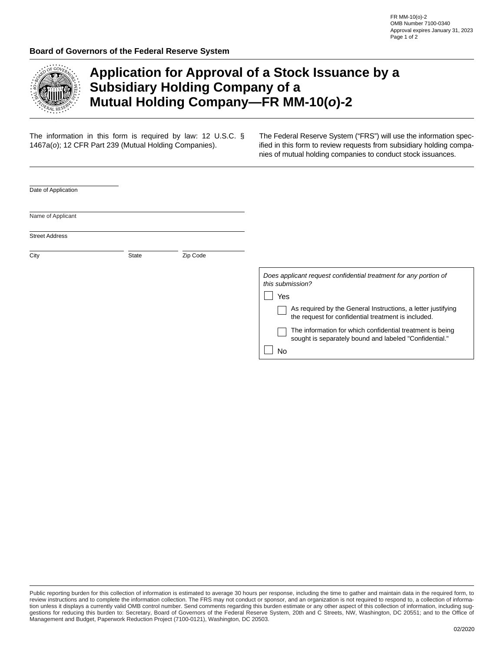

## **Application for Approval of a Stock Issuance by a Subsidiary Holding Company of a Mutual Holding Company—FR MM-10(***o***)-2**

The information in this form is required by law: 12 U.S.C. § 1467a(*o*); 12 CFR Part 239 (Mutual Holding Companies).

The Federal Reserve System ("FRS") will use the information specified in this form to review requests from subsidiary holding companies of mutual holding companies to conduct stock issuances.

| Date of Application   |       |          |                                                                                                                     |
|-----------------------|-------|----------|---------------------------------------------------------------------------------------------------------------------|
|                       |       |          |                                                                                                                     |
| Name of Applicant     |       |          |                                                                                                                     |
| <b>Street Address</b> |       |          |                                                                                                                     |
|                       | State |          |                                                                                                                     |
| City                  |       | Zip Code |                                                                                                                     |
|                       |       |          | Does applicant request confidential treatment for any portion of<br>this submission?                                |
|                       |       |          | Yes                                                                                                                 |
|                       |       |          | As required by the General Instructions, a letter justifying<br>the request for confidential treatment is included. |
|                       |       |          | The information for which confidential treatment is being<br>sought is separately bound and labeled "Confidential." |
|                       |       |          | No                                                                                                                  |

Public reporting burden for this collection of information is estimated to average 30 hours per response, including the time to gather and maintain data in the required form, to review instructions and to complete the information collection. The FRS may not conduct or sponsor, and an organization is not required to respond to, a collection of information unless it displays a currently valid OMB control number. Send comments regarding this burden estimate or any other aspect of this collection of information, including suggestions for reducing this burden to: Secretary, Board of Governors of the Federal Reserve System, 20th and C Streets, NW, Washington, DC 20551; and to the Office of Management and Budget, Paperwork Reduction Project (7100-0121), Washington, DC 20503.